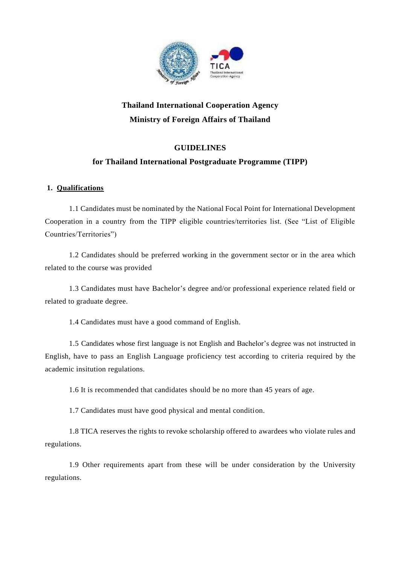

# **Thailand International Cooperation Agency Ministry of Foreign Affairs of Thailand**

## **GUIDELINES**

## **for Thailand International Postgraduate Programme (TIPP)**

## **1. Qualifications**

1.1 Candidates must be nominated by the National Focal Point for International Development Cooperation in a country from the TIPP eligible countries/territories list. (See "List of Eligible Countries/Territories")

1.2 Candidates should be preferred working in the government sector or in the area which related to the course was provided

1.3 Candidates must have Bachelor's degree and/or professional experience related field or related to graduate degree.

1.4 Candidates must have a good command of English.

1.5 Candidates whose first language is not English and Bachelor's degree was not instructed in English, have to pass an English Language proficiency test according to criteria required by the academic insitution regulations.

1.6 It is recommended that candidates should be no more than 45 years of age.

1.7 Candidates must have good physical and mental condition.

1.8 TICA reserves the rights to revoke scholarship offered to awardees who violate rules and regulations.

1.9 Other requirements apart from these will be under consideration by the University regulations.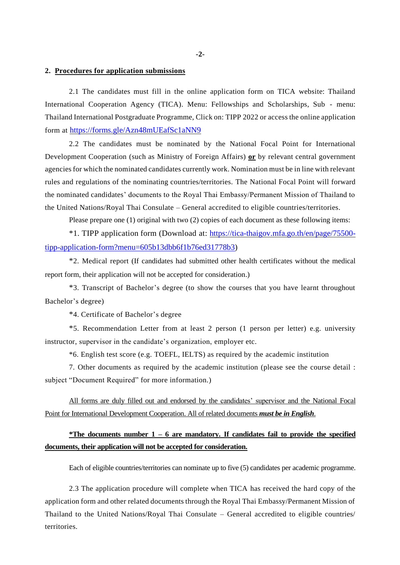## **2. Procedures for application submissions**

2.1 The candidates must fill in the online application form on TICA website: Thailand International Cooperation Agency (TICA). Menu: Fellowships and Scholarships, Sub - menu: Thailand International Postgraduate Programme, Click on: TIPP 2022 or access the online application form at <https://forms.gle/Azn48mUEafSc1aNN9>

2.2 The candidates must be nominated by the National Focal Point for International Development Cooperation (such as Ministry of Foreign Affairs) **or** by relevant central government agencies for which the nominated candidates currently work. Nomination must be in line with relevant rules and regulations of the nominating countries/territories. The National Focal Point will forward the nominated candidates' documents to the Royal Thai Embassy/Permanent Mission of Thailand to the United Nations/Royal Thai Consulate – General accredited to eligible countries/territories.

Please prepare one (1) original with two (2) copies of each document as these following items:

\*1. TIPP application form (Download at: [https://tica-thaigov.mfa.go.th/en/page/75500](https://tica-thaigov.mfa.go.th/en/page/75500-tipp-application-form?menu=605b13dbb6f1b76ed31778b3) [tipp-application-form?menu=605b13dbb6f1b76ed31778b3\)](https://tica-thaigov.mfa.go.th/en/page/75500-tipp-application-form?menu=605b13dbb6f1b76ed31778b3)

\*2. Medical report (If candidates had submitted other health certificates without the medical report form, their application will not be accepted for consideration.)

\*3. Transcript of Bachelor's degree (to show the courses that you have learnt throughout Bachelor's degree)

\*4. Certificate of Bachelor's degree

\*5. Recommendation Letter from at least 2 person (1 person per letter) e.g. university instructor, supervisor in the candidate's organization, employer etc.

\*6. English test score (e.g. TOEFL, IELTS) as required by the academic institution

7. Other documents as required by the academic institution (please see the course detail : subject "Document Required" for more information.)

All forms are duly filled out and endorsed by the candidates' supervisor and the National Focal Point for International Development Cooperation. All of related documents *must be in English*.

## **\*The documents number 1 – 6 are mandatory. If candidates fail to provide the specified documents, their application will not be accepted for consideration.**

Each of eligible countries/territories can nominate up to five (5) candidates per academic programme.

2.3 The application procedure will complete when TICA has received the hard copy of the application form and other related documents through the Royal Thai Embassy/Permanent Mission of Thailand to the United Nations/Royal Thai Consulate – General accredited to eligible countries/ territories.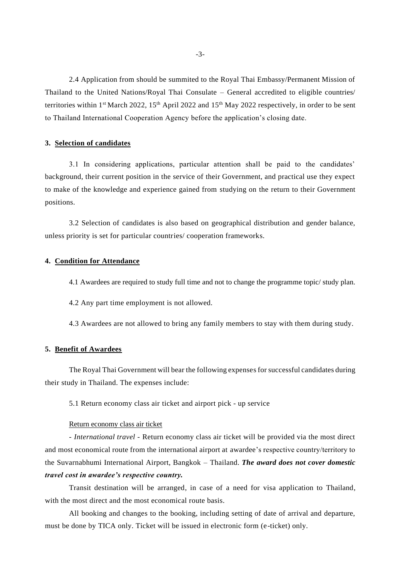2.4 Application from should be summited to the Royal Thai Embassy/Permanent Mission of Thailand to the United Nations/Royal Thai Consulate – General accredited to eligible countries/ territories within 1<sup>st</sup> March 2022, 15<sup>th</sup> April 2022 and 15<sup>th</sup> May 2022 respectively, in order to be sent to Thailand International Cooperation Agency before the application's closing date.

## **3. Selection of candidates**

3.1 In considering applications, particular attention shall be paid to the candidates' background, their current position in the service of their Government, and practical use they expect to make of the knowledge and experience gained from studying on the return to their Government positions.

3.2 Selection of candidates is also based on geographical distribution and gender balance, unless priority is set for particular countries/ cooperation frameworks.

### **4. Condition for Attendance**

4.1 Awardees are required to study full time and not to change the programme topic/ study plan.

4.2 Any part time employment is not allowed.

4.3 Awardees are not allowed to bring any family members to stay with them during study.

## **5. Benefit of Awardees**

The Royal Thai Government will bear the following expenses for successful candidates during their study in Thailand. The expenses include:

5.1 Return economy class air ticket and airport pick - up service

#### Return economy class air ticket

- *International travel* - Return economy class air ticket will be provided via the most direct and most economical route from the international airport at awardee's respective country/territory to the Suvarnabhumi International Airport, Bangkok – Thailand. *The award does not cover domestic travel cost in awardee's respective country.*

Transit destination will be arranged, in case of a need for visa application to Thailand, with the most direct and the most economical route basis.

All booking and changes to the booking, including setting of date of arrival and departure, must be done by TICA only. Ticket will be issued in electronic form (e-ticket) only.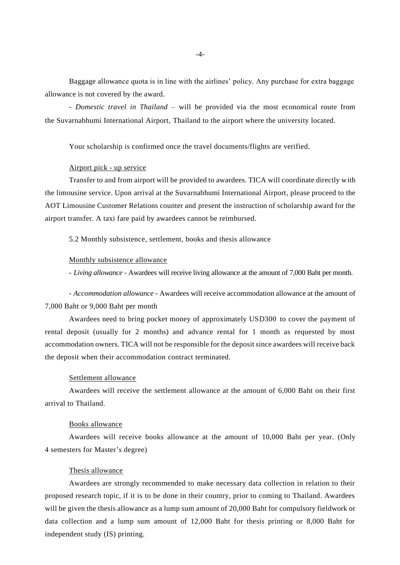Baggage allowance quota is in line with the airlines' policy. Any purchase for extra baggage allowance is not covered by the award.

- *Domestic travel in Thailand* – will be provided via the most economical route from the Suvarnabhumi International Airport, Thailand to the airport where the university located.

Your scholarship is confirmed once the travel documents/flights are verified.

#### Airport pick - up service

Transfer to and from airport will be provided to awardees. TICA will coordinate directly with the limousine service. Upon arrival at the Suvarnabhumi International Airport, please proceed to the AOT Limousine Customer Relations counter and present the instruction of scholarship award for the airport transfer. A taxi fare paid by awardees cannot be reimbursed.

5.2 Monthly subsistence, settlement, books and thesis allowance

#### Monthly subsistence allowance

- *Living allowance* - Awardees will receive living allowance at the amount of 7,000 Baht per month.

*- Accommodation allowance -* Awardees will receive accommodation allowance at the amount of 7,000 Baht or 9,000 Baht per month

Awardees need to bring pocket money of approximately USD300 to cover the payment of rental deposit (usually for 2 months) and advance rental for 1 month as requested by most accommodation owners. TICA will not be responsible for the deposit since awardees will receive back the deposit when their accommodation contract terminated.

#### Settlement allowance

Awardees will receive the settlement allowance at the amount of 6,000 Baht on their first arrival to Thailand.

## Books allowance

Awardees will receive books allowance at the amount of 10,000 Baht per year. (Only 4 semesters for Master's degree)

#### Thesis allowance

Awardees are strongly recommended to make necessary data collection in relation to their proposed research topic, if it is to be done in their country, prior to coming to Thailand. Awardees will be given the thesis allowance as a lump sum amount of 20,000 Baht for compulsory fieldwork or data collection and a lump sum amount of 12,000 Baht for thesis printing or 8,000 Baht for independent study (IS) printing.